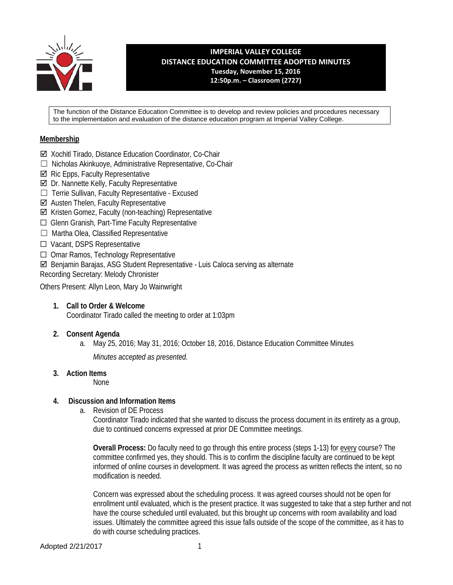

**IMPERIAL VALLEY COLLEGE DISTANCE EDUCATION COMMITTEE ADOPTED MINUTES Tuesday, November 15, 2016 12:50p.m. – Classroom (2727)**

The function of the Distance Education Committee is to develop and review policies and procedures necessary to the implementation and evaluation of the distance education program at Imperial Valley College.

### **Membership**

- Xochitl Tirado, Distance Education Coordinator, Co-Chair
- ☐ Nicholas Akinkuoye, Administrative Representative, Co-Chair
- $\boxtimes$  Ric Epps, Faculty Representative
- $\boxtimes$  Dr. Nannette Kelly, Faculty Representative
- ☐ Terrie Sullivan, Faculty Representative Excused
- Austen Thelen, Faculty Representative
- Kristen Gomez, Faculty (non-teaching) Representative
- ☐ Glenn Granish, Part-Time Faculty Representative
- ☐ Martha Olea, Classified Representative
- ☐ Vacant, DSPS Representative
- ☐ Omar Ramos, Technology Representative
- Benjamin Barajas, ASG Student Representative Luis Caloca serving as alternate

Recording Secretary: Melody Chronister

Others Present: Allyn Leon, Mary Jo Wainwright

- **1. Call to Order & Welcome** Coordinator Tirado called the meeting to order at 1:03pm
- **2. Consent Agenda**
	- a. May 25, 2016; May 31, 2016; October 18, 2016, Distance Education Committee Minutes *Minutes accepted as presented.*
- **3. Action Items**

None

### **4. Discussion and Information Items**

a. Revision of DE Process

Coordinator Tirado indicated that she wanted to discuss the process document in its entirety as a group, due to continued concerns expressed at prior DE Committee meetings.

**Overall Process:** Do faculty need to go through this entire process (steps 1-13) for every course? The committee confirmed yes, they should. This is to confirm the discipline faculty are continued to be kept informed of online courses in development. It was agreed the process as written reflects the intent, so no modification is needed.

Concern was expressed about the scheduling process. It was agreed courses should not be open for enrollment until evaluated, which is the present practice. It was suggested to take that a step further and not have the course scheduled until evaluated, but this brought up concerns with room availability and load issues. Ultimately the committee agreed this issue falls outside of the scope of the committee, as it has to do with course scheduling practices.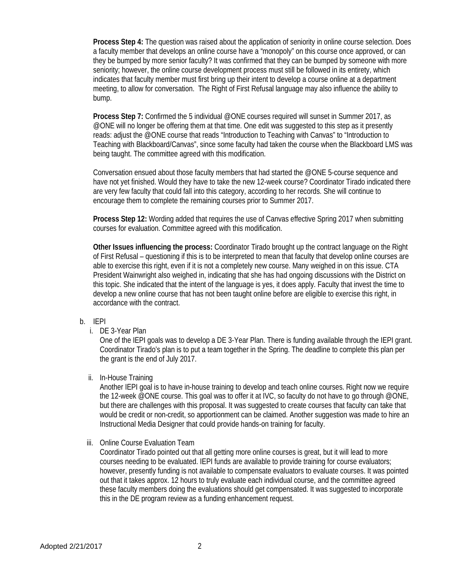**Process Step 4:** The question was raised about the application of seniority in online course selection. Does a faculty member that develops an online course have a "monopoly" on this course once approved, or can they be bumped by more senior faculty? It was confirmed that they can be bumped by someone with more seniority; however, the online course development process must still be followed in its entirety, which indicates that faculty member must first bring up their intent to develop a course online at a department meeting, to allow for conversation. The Right of First Refusal language may also influence the ability to bump.

**Process Step 7:** Confirmed the 5 individual @ONE courses required will sunset in Summer 2017, as @ONE will no longer be offering them at that time. One edit was suggested to this step as it presently reads: adjust the @ONE course that reads "Introduction to Teaching with Canvas" to "Introduction to Teaching with Blackboard/Canvas", since some faculty had taken the course when the Blackboard LMS was being taught. The committee agreed with this modification.

Conversation ensued about those faculty members that had started the @ONE 5-course sequence and have not yet finished. Would they have to take the new 12-week course? Coordinator Tirado indicated there are very few faculty that could fall into this category, according to her records. She will continue to encourage them to complete the remaining courses prior to Summer 2017.

**Process Step 12:** Wording added that requires the use of Canvas effective Spring 2017 when submitting courses for evaluation. Committee agreed with this modification.

**Other Issues influencing the process:** Coordinator Tirado brought up the contract language on the Right of First Refusal – questioning if this is to be interpreted to mean that faculty that develop online courses are able to exercise this right, even if it is not a completely new course. Many weighed in on this issue. CTA President Wainwright also weighed in, indicating that she has had ongoing discussions with the District on this topic. She indicated that the intent of the language is yes, it does apply. Faculty that invest the time to develop a new online course that has not been taught online before are eligible to exercise this right, in accordance with the contract.

### b. IEPI

i. DE 3-Year Plan

One of the IEPI goals was to develop a DE 3-Year Plan. There is funding available through the IEPI grant. Coordinator Tirado's plan is to put a team together in the Spring. The deadline to complete this plan per the grant is the end of July 2017.

### ii. In-House Training

Another IEPI goal is to have in-house training to develop and teach online courses. Right now we require the 12-week @ONE course. This goal was to offer it at IVC, so faculty do not have to go through @ONE, but there are challenges with this proposal. It was suggested to create courses that faculty can take that would be credit or non-credit, so apportionment can be claimed. Another suggestion was made to hire an Instructional Media Designer that could provide hands-on training for faculty.

iii. Online Course Evaluation Team

Coordinator Tirado pointed out that all getting more online courses is great, but it will lead to more courses needing to be evaluated. IEPI funds are available to provide training for course evaluators; however, presently funding is not available to compensate evaluators to evaluate courses. It was pointed out that it takes approx. 12 hours to truly evaluate each individual course, and the committee agreed these faculty members doing the evaluations should get compensated. It was suggested to incorporate this in the DE program review as a funding enhancement request.